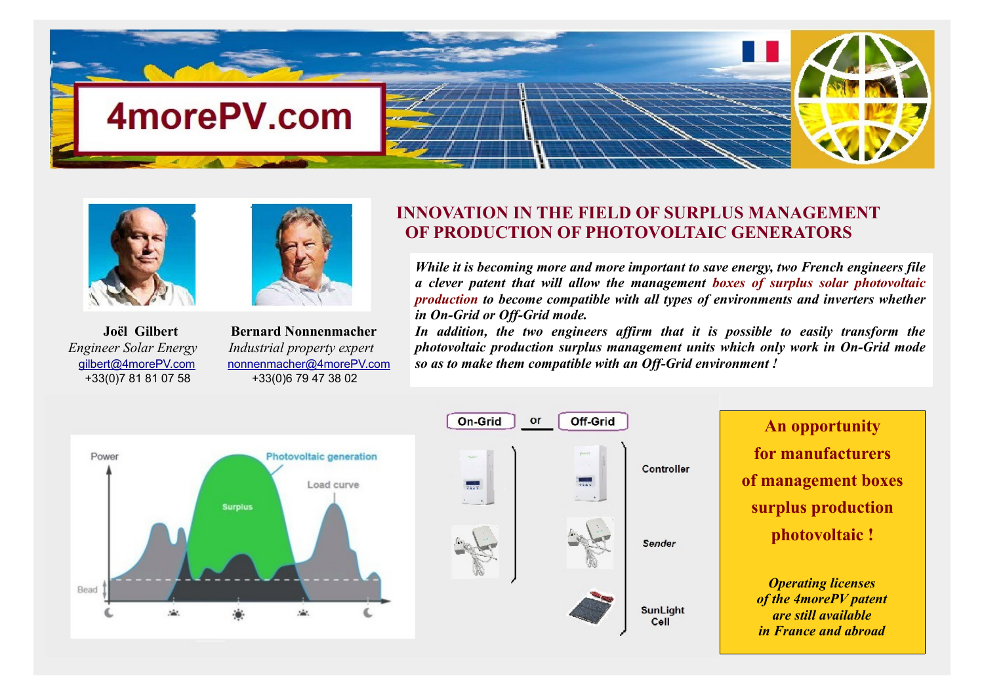





 **Joël Gilbert Bernard Nonnenmacher** *Engineer Solar Energy Industrial property expert* [gilbert@4morePV.com](mailto:gilbert@4morePV.com) nonnenmacher@4morePV.com +33(0)7 81 81 07 58 +33(0)6 79 47 38 02

## **INNOVATION IN THE FIELD OF SURPLUS MANAGEMENT OF PRODUCTION OF PHOTOVOLTAIC GENERATORS**

*While it is becoming more and more important to save energy, two French engineers file a clever patent that will allow the management boxes of surplus solar photovoltaic production to become compatible with all types of environments and inverters whether in On-Grid or Off-Grid mode.*

*In addition, the two engineers affirm that it is possible to easily transform the photovoltaic production surplus management units which only work in On-Grid mode so as to make them compatible with an Off-Grid environment !*

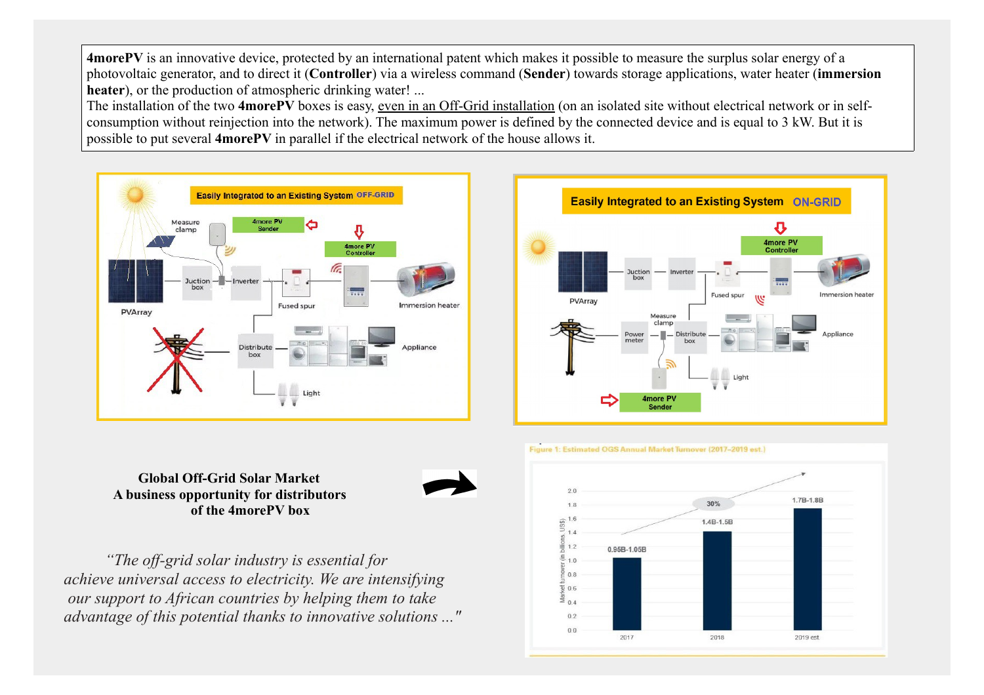**4morePV** is an innovative device, protected by an international patent which makes it possible to measure the surplus solar energy of a photovoltaic generator, and to direct it (**Controller**) via a wireless command (**Sender**) towards storage applications, water heater (**immersion heater**), or the production of atmospheric drinking water! ...

The installation of the two **4morePV** boxes is easy, even in an Off-Grid installation (on an isolated site without electrical network or in selfconsumption without reinjection into the network). The maximum power is defined by the connected device and is equal to 3 kW. But it is possible to put several **4morePV** in parallel if the electrical network of the house allows it.





## Figure 1: Estimated OGS Annual Market Turnover (2017-2019 est.)

 **Global Off-Grid Solar Market A business opportunity for distributors of the 4morePV box**



 *"The off-grid solar industry is essential for achieve universal access to electricity. We are intensifying our support to African countries by helping them to take advantage of this potential thanks to innovative solutions ..."*

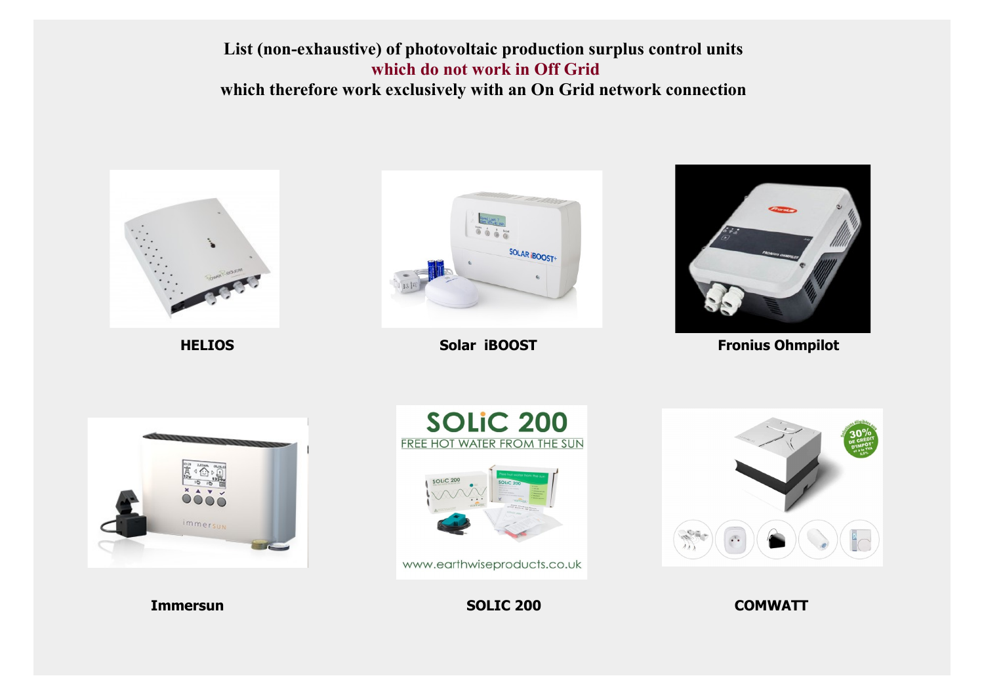

**HELIOS** 



Solar iBOOST



**Fronius Ohmpilot** 





www.earthwiseproducts.co.uk

**SOLIC 200** 



**COMWATT** 

**Immersun**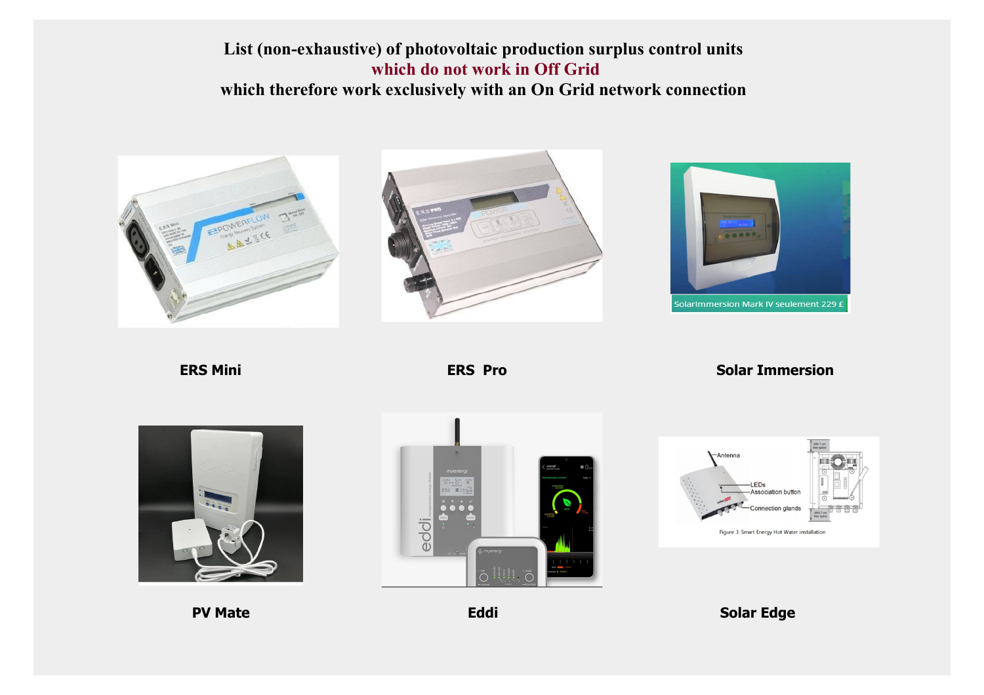





**ERS Mini ERS Pro** ERS Pro Solar Immersion







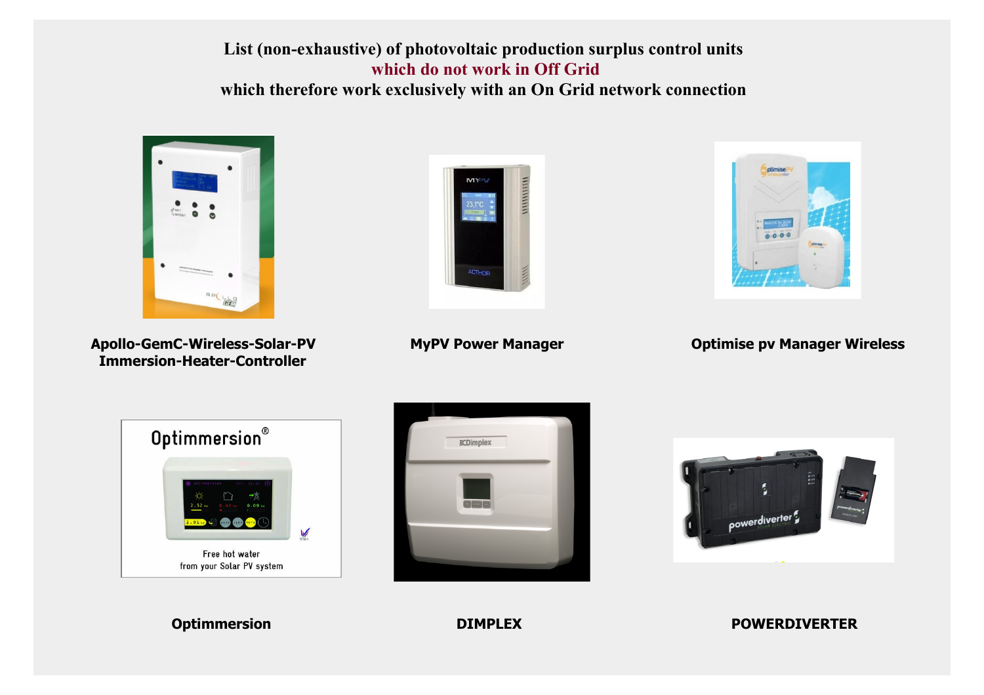

 **Immersion-Heater-Controller**





Apollo-GemC-Wireless-Solar-PV MyPV Power Manager **Optimise pv Manager Wireless** 







**Optimmersion DIMPLEX POWERDIVERTER**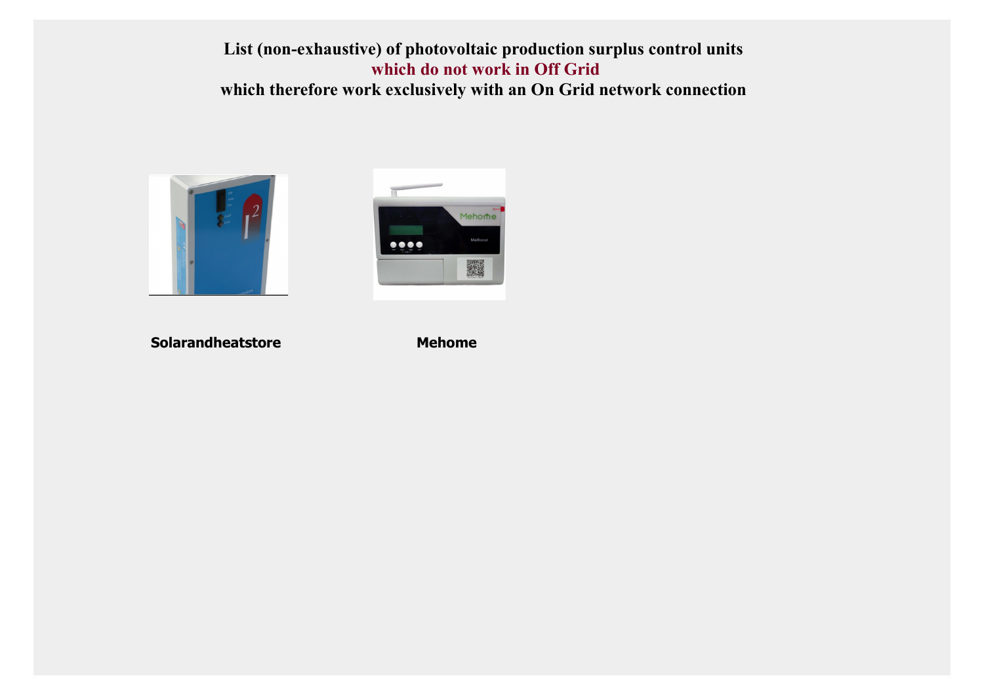



**Solarandheatstore** Mehome